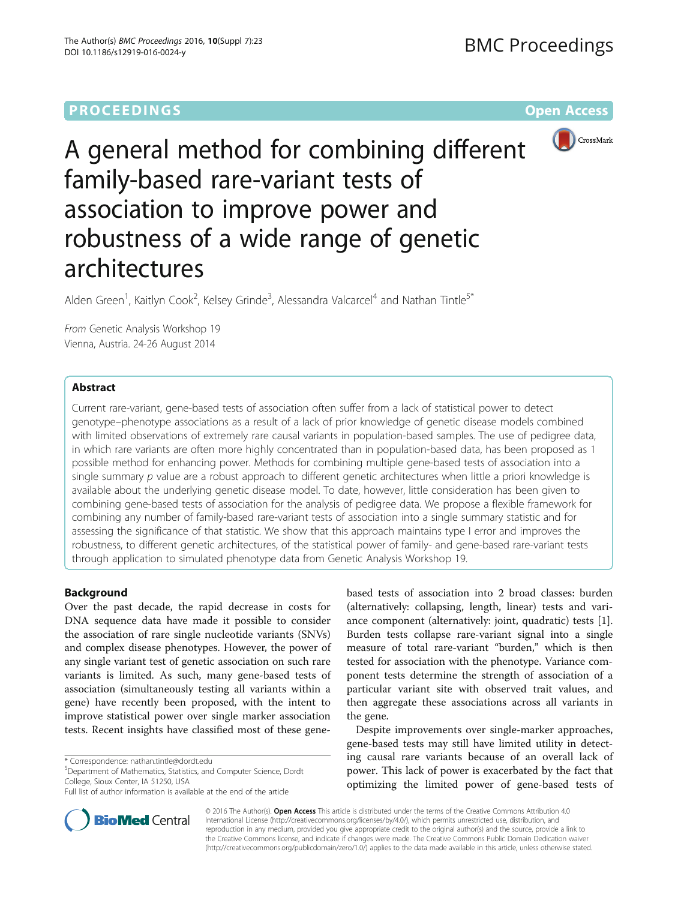# **PROCEEDINGS CONSUMING SECTION CONSUMING SECTION CONSUMING SECTION CONSUMING SECTION CONSUMING SECTION CONSUMING SECTION CONSUMING SECTION CONSUMING SECTION CONSUMING SECTION CONSUMING SECTION CONSUMING SECTION CONSUMING**



A general method for combining different family-based rare-variant tests of association to improve power and robustness of a wide range of genetic architectures

Alden Green<sup>1</sup>, Kaitlyn Cook<sup>2</sup>, Kelsey Grinde<sup>3</sup>, Alessandra Valcarcel<sup>4</sup> and Nathan Tintle<sup>5\*</sup>

From Genetic Analysis Workshop 19 Vienna, Austria. 24-26 August 2014

## Abstract

Current rare-variant, gene-based tests of association often suffer from a lack of statistical power to detect genotype–phenotype associations as a result of a lack of prior knowledge of genetic disease models combined with limited observations of extremely rare causal variants in population-based samples. The use of pedigree data, in which rare variants are often more highly concentrated than in population-based data, has been proposed as 1 possible method for enhancing power. Methods for combining multiple gene-based tests of association into a single summary  $p$  value are a robust approach to different genetic architectures when little a priori knowledge is available about the underlying genetic disease model. To date, however, little consideration has been given to combining gene-based tests of association for the analysis of pedigree data. We propose a flexible framework for combining any number of family-based rare-variant tests of association into a single summary statistic and for assessing the significance of that statistic. We show that this approach maintains type I error and improves the robustness, to different genetic architectures, of the statistical power of family- and gene-based rare-variant tests through application to simulated phenotype data from Genetic Analysis Workshop 19.

## Background

Over the past decade, the rapid decrease in costs for DNA sequence data have made it possible to consider the association of rare single nucleotide variants (SNVs) and complex disease phenotypes. However, the power of any single variant test of genetic association on such rare variants is limited. As such, many gene-based tests of association (simultaneously testing all variants within a gene) have recently been proposed, with the intent to improve statistical power over single marker association tests. Recent insights have classified most of these gene-

Department of Mathematics, Statistics, and Computer Science, Dordt College, Sioux Center, IA 51250, USA

based tests of association into 2 broad classes: burden (alternatively: collapsing, length, linear) tests and variance component (alternatively: joint, quadratic) tests [\[1](#page-4-0)]. Burden tests collapse rare-variant signal into a single measure of total rare-variant "burden," which is then tested for association with the phenotype. Variance component tests determine the strength of association of a particular variant site with observed trait values, and then aggregate these associations across all variants in the gene.

Despite improvements over single-marker approaches, gene-based tests may still have limited utility in detecting causal rare variants because of an overall lack of power. This lack of power is exacerbated by the fact that optimizing the limited power of gene-based tests of



© 2016 The Author(s). Open Access This article is distributed under the terms of the Creative Commons Attribution 4.0 International License [\(http://creativecommons.org/licenses/by/4.0/](http://creativecommons.org/licenses/by/4.0/)), which permits unrestricted use, distribution, and reproduction in any medium, provided you give appropriate credit to the original author(s) and the source, provide a link to the Creative Commons license, and indicate if changes were made. The Creative Commons Public Domain Dedication waiver [\(http://creativecommons.org/publicdomain/zero/1.0/](http://creativecommons.org/publicdomain/zero/1.0/)) applies to the data made available in this article, unless otherwise stated.

<sup>\*</sup> Correspondence: [nathan.tintle@dordt.edu](mailto:nathan.tintle@dordt.edu) <sup>5</sup>

Full list of author information is available at the end of the article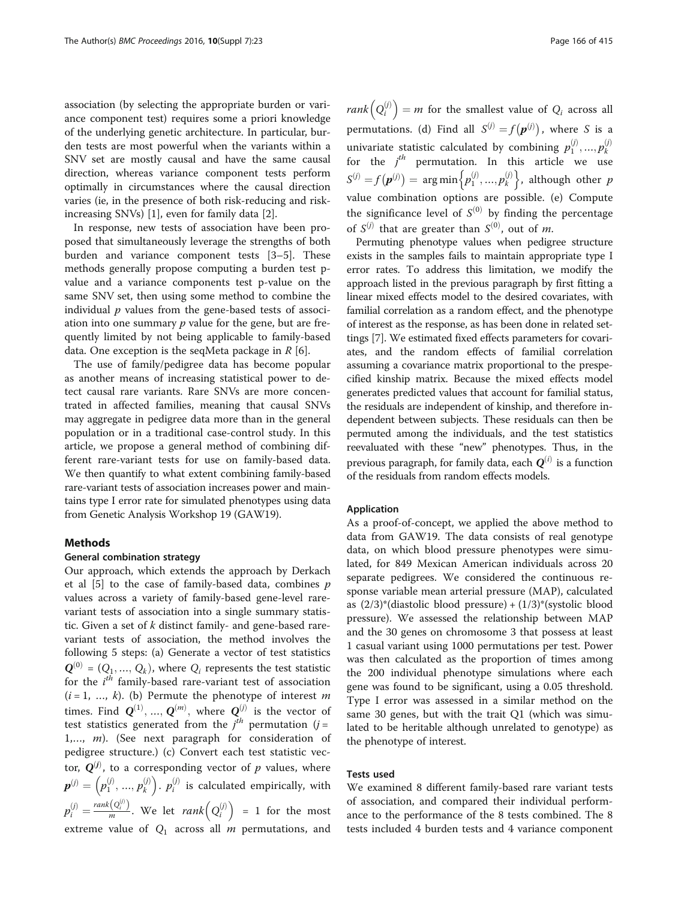association (by selecting the appropriate burden or variance component test) requires some a priori knowledge of the underlying genetic architecture. In particular, burden tests are most powerful when the variants within a SNV set are mostly causal and have the same causal direction, whereas variance component tests perform optimally in circumstances where the causal direction varies (ie, in the presence of both risk-reducing and riskincreasing SNVs) [[1\]](#page-4-0), even for family data [[2](#page-4-0)].

In response, new tests of association have been proposed that simultaneously leverage the strengths of both burden and variance component tests [\[3](#page-4-0)–[5\]](#page-4-0). These methods generally propose computing a burden test pvalue and a variance components test p-value on the same SNV set, then using some method to combine the individual  $p$  values from the gene-based tests of association into one summary  $p$  value for the gene, but are frequently limited by not being applicable to family-based data. One exception is the seqMeta package in  $R$  [\[6](#page-4-0)].

The use of family/pedigree data has become popular as another means of increasing statistical power to detect causal rare variants. Rare SNVs are more concentrated in affected families, meaning that causal SNVs may aggregate in pedigree data more than in the general population or in a traditional case-control study. In this article, we propose a general method of combining different rare-variant tests for use on family-based data. We then quantify to what extent combining family-based rare-variant tests of association increases power and maintains type I error rate for simulated phenotypes using data from Genetic Analysis Workshop 19 (GAW19).

## Methods

#### General combination strategy

Our approach, which extends the approach by Derkach et al  $[5]$  $[5]$  to the case of family-based data, combines  $p$ values across a variety of family-based gene-level rarevariant tests of association into a single summary statistic. Given a set of  $k$  distinct family- and gene-based rarevariant tests of association, the method involves the following 5 steps: (a) Generate a vector of test statistics  $\mathbf{Q}^{(0)} = (Q_1, ..., Q_k)$ , where  $Q_i$  represents the test statistic for the  $i^{th}$  family-based rare-variant test of association  $(i-1, k)$  (b) Permute the phenotype of interest m  $(i = 1, ..., k)$ . (b) Permute the phenotype of interest m times. Find  $\mathbf{Q}^{(1)}, ..., \mathbf{Q}^{(m)}$ , where  $\mathbf{Q}^{(j)}$  is the vector of test statistics generated from the  $j<sup>th</sup>$  permutation (j = 1 m) (See next paragraph for consideration  $\Omega$ 1,…, m). (See next paragraph for consideration of pedigree structure.) (c) Convert each test statistic vector,  $Q^{(j)}$ , to a corresponding vector of p values, where  $\boldsymbol{p}^{(j)} = (p_1^{(j)}, ..., p_k^{(j)})$ .  $p_i^{(j)}$  is calculated empirically, with  $\mathbf{r}$  $\zeta_i^{(j)} = \frac{\text{rank}(Q_i^{(j)})}{m}$ . We let  $\text{rank}(Q_i^{(j)}) = 1$  for the most extreme value of  $Q_1$  across all m permutations, and

 $rank(Q_i^{(j)}) = m$  for the smallest value of  $Q_i$  across all permutations. (d) Find all  $S^{(j)} = f(p^{(j)})$ , where S is a univariate statistic calculated by combining  $p_1^{(j)},...,p_k^{(j)}$ <br>for the *i*<sup>th</sup> permutation. In this article we use for the  $j^{th}$  permutation. In this article we use  $S^{(j)} = f(\boldsymbol{p}^{(j)}) = \arg \min \left\{ p_1^{(j)}, ..., p_k^{(j)} \right\}$ , although other p value combination options are possible. (e) Compute the significance level of  $S^{(0)}$  by finding the percentage of  $S^{(j)}$  that are greater than  $S^{(0)}$ , out of m.

Permuting phenotype values when pedigree structure exists in the samples fails to maintain appropriate type I error rates. To address this limitation, we modify the approach listed in the previous paragraph by first fitting a linear mixed effects model to the desired covariates, with familial correlation as a random effect, and the phenotype of interest as the response, as has been done in related settings [[7](#page-5-0)]. We estimated fixed effects parameters for covariates, and the random effects of familial correlation assuming a covariance matrix proportional to the prespecified kinship matrix. Because the mixed effects model generates predicted values that account for familial status, the residuals are independent of kinship, and therefore independent between subjects. These residuals can then be permuted among the individuals, and the test statistics reevaluated with these "new" phenotypes. Thus, in the previous paragraph, for family data, each  $\mathbf{Q}^{(i)}$  is a function of the residuals from random effects models.

## Application

As a proof-of-concept, we applied the above method to data from GAW19. The data consists of real genotype data, on which blood pressure phenotypes were simulated, for 849 Mexican American individuals across 20 separate pedigrees. We considered the continuous response variable mean arterial pressure (MAP), calculated as  $(2/3)$ <sup>\*</sup>(diastolic blood pressure) +  $(1/3)$ <sup>\*</sup>(systolic blood pressure). We assessed the relationship between MAP and the 30 genes on chromosome 3 that possess at least 1 casual variant using 1000 permutations per test. Power was then calculated as the proportion of times among the 200 individual phenotype simulations where each gene was found to be significant, using a 0.05 threshold. Type I error was assessed in a similar method on the same 30 genes, but with the trait Q1 (which was simulated to be heritable although unrelated to genotype) as the phenotype of interest.

## Tests used

We examined 8 different family-based rare variant tests of association, and compared their individual performance to the performance of the 8 tests combined. The 8 tests included 4 burden tests and 4 variance component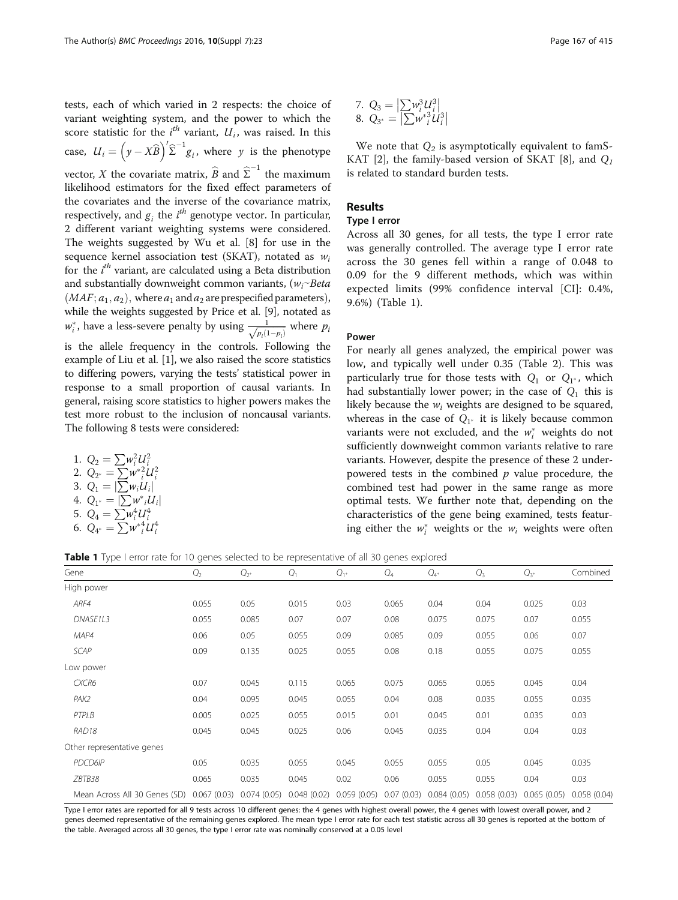tests, each of which varied in 2 respects: the choice of variant weighting system, and the power to which the score statistic for the  $i^{th}$  variant,  $U_i$ , was raised. In this case,  $U_i = (y - X\widehat{B})' \widehat{\Sigma}^{-1} g_i$ , where y is the phenotype vector, X the covariate matrix,  $\widehat{B}$  and  $\widehat{\Sigma}^{-1}$  the maximum<br>likelihood estimators for the fixed effect parameters of likelihood estimators for the fixed effect parameters of the covariates and the inverse of the covariance matrix, respectively, and  $g_i$  the  $i^{th}$  genotype vector. In particular,<br>2. different variant weighting systems were considered 2 different variant weighting systems were considered. The weights suggested by Wu et al. [[8\]](#page-5-0) for use in the sequence kernel association test (SKAT), notated as  $w_i$ for the *i<sup>th</sup>* variant, are calculated using a Beta distribution<br>and substantially downweight common variants (we Beta and substantially downweight common variants,  $(w_i \sim Beta)$  $(MAF; a<sub>1</sub>, a<sub>2</sub>)$ , where  $a<sub>1</sub>$  and  $a<sub>2</sub>$  are prespecified parameters), while the weights suggested by Price et al. [\[9](#page-5-0)], notated as  $w_i^*$ , have a less-severe penalty by using  $\frac{1}{\sqrt{p_i(1-p_i)}}$  where  $p_i$ is the allele frequency in the controls. Following the example of Liu et al. [\[1](#page-4-0)], we also raised the score statistics to differing powers, varying the tests' statistical power in response to a small proportion of causal variants. In general, raising score statistics to higher powers makes the test more robust to the inclusion of noncausal variants. The following 8 tests were considered:

1. 
$$
Q_2 = \sum w_i^2 U_i^2
$$
  
2.  $Q_{2^*} = \sum w_i^*^2 U_i^2$ 

2. 
$$
Q_{2^*} = \sum_{i} W_i^T U_i
$$

- 3.  $Q_1 = |\sum w_i U_i|$
- 4.  $Q_{1^*} = \frac{1}{2} w^*_{i} U_i$
- 5.  $Q_4 = \sum_{i} w_i^4 U_i^4$ <br>6.  $Q_{4^*} = \sum_{i} w_i^* U_i^4$

7. 
$$
Q_3 = |\sum w_i^3 U_i^3|
$$
  
8.  $Q_{3^*} = |\sum w_i^*^3 U_i^3|$ 

We note that  $Q_2$  is asymptotically equivalent to famS-KAT [\[2](#page-4-0)], the family-based version of SKAT [[8\]](#page-5-0), and  $Q_1$ is related to standard burden tests.

## Results

## Type I error

Across all 30 genes, for all tests, the type I error rate was generally controlled. The average type I error rate across the 30 genes fell within a range of 0.048 to 0.09 for the 9 different methods, which was within expected limits (99% confidence interval [CI]: 0.4%, 9.6%) (Table 1).

#### Power

For nearly all genes analyzed, the empirical power was low, and typically well under 0.35 (Table [2\)](#page-3-0). This was particularly true for those tests with  $Q_1$  or  $Q_{1}$ , which had substantially lower power; in the case of  $Q_1$  this is likely because the  $w_i$  weights are designed to be squared, whereas in the case of  $Q_{1*}$  it is likely because common variants were not excluded, and the  $w_i^*$  weights do not sufficiently downwoight common variants relative to rare sufficiently downweight common variants relative to rare variants. However, despite the presence of these 2 underpowered tests in the combined  $p$  value procedure, the combined test had power in the same range as more optimal tests. We further note that, depending on the characteristics of the gene being examined, tests featuring either the  $w_i^*$  weights or the  $w_i$  weights were often

Table 1 Type I error rate for 10 genes selected to be representative of all 30 genes explored

| Gene                          | $Q_2$       | $Q_{2^*}$   | Q <sub>1</sub> | $Q_{1*}$    | $Q_4$      | $Q_{4^*}$   | $Q_3$       | $Q_{3^*}$   | Combined    |
|-------------------------------|-------------|-------------|----------------|-------------|------------|-------------|-------------|-------------|-------------|
| High power                    |             |             |                |             |            |             |             |             |             |
| ARF4                          | 0.055       | 0.05        | 0.015          | 0.03        | 0.065      | 0.04        | 0.04        | 0.025       | 0.03        |
| DNASE1L3                      | 0.055       | 0.085       | 0.07           | 0.07        | 0.08       | 0.075       | 0.075       | 0.07        | 0.055       |
| MAP4                          | 0.06        | 0.05        | 0.055          | 0.09        | 0.085      | 0.09        | 0.055       | 0.06        | 0.07        |
| <b>SCAP</b>                   | 0.09        | 0.135       | 0.025          | 0.055       | 0.08       | 0.18        | 0.055       | 0.075       | 0.055       |
| Low power                     |             |             |                |             |            |             |             |             |             |
| CXCR6                         | 0.07        | 0.045       | 0.115          | 0.065       | 0.075      | 0.065       | 0.065       | 0.045       | 0.04        |
| PAK2                          | 0.04        | 0.095       | 0.045          | 0.055       | 0.04       | 0.08        | 0.035       | 0.055       | 0.035       |
| PTPLB                         | 0.005       | 0.025       | 0.055          | 0.015       | 0.01       | 0.045       | 0.01        | 0.035       | 0.03        |
| RAD <sub>18</sub>             | 0.045       | 0.045       | 0.025          | 0.06        | 0.045      | 0.035       | 0.04        | 0.04        | 0.03        |
| Other representative genes    |             |             |                |             |            |             |             |             |             |
| PDCD6IP                       | 0.05        | 0.035       | 0.055          | 0.045       | 0.055      | 0.055       | 0.05        | 0.045       | 0.035       |
| ZBTB38                        | 0.065       | 0.035       | 0.045          | 0.02        | 0.06       | 0.055       | 0.055       | 0.04        | 0.03        |
| Mean Across All 30 Genes (SD) | 0.067(0.03) | 0.074(0.05) | 0.048(0.02)    | 0.059(0.05) | 0.07(0.03) | 0.084(0.05) | 0.058(0.03) | 0.065(0.05) | 0.058(0.04) |

Type I error rates are reported for all 9 tests across 10 different genes: the 4 genes with highest overall power, the 4 genes with lowest overall power, and 2 genes deemed representative of the remaining genes explored. The mean type I error rate for each test statistic across all 30 genes is reported at the bottom of the table. Averaged across all 30 genes, the type I error rate was nominally conserved at a 0.05 level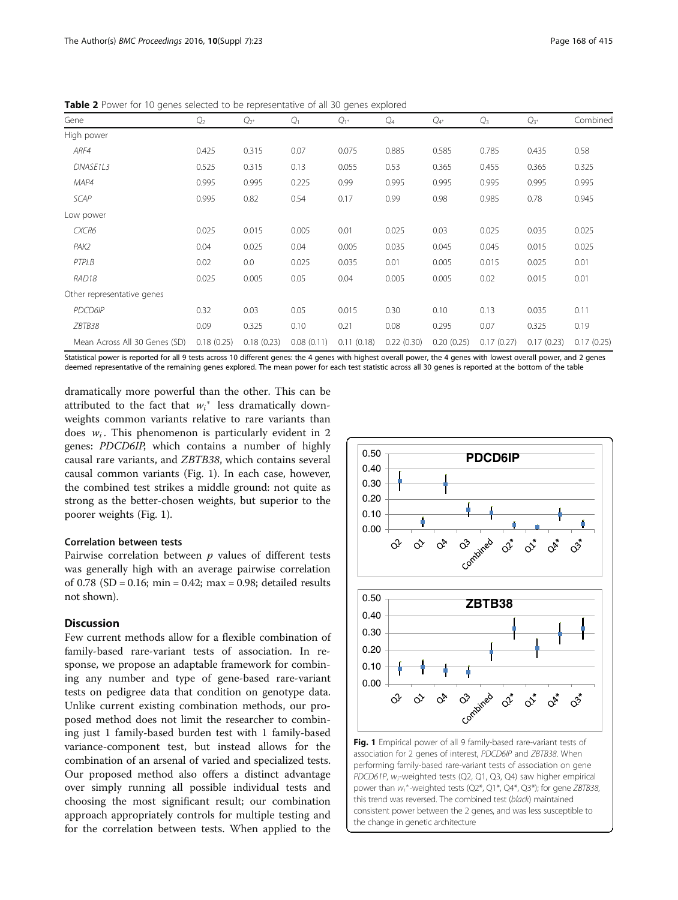| Gene                          | $Q_2$      | $Q_{2^*}$  | Q <sub>1</sub> | $Q_{1^*}$  | $Q_4$      | $Q_{4^*}$  | $Q_3$      | $Q_{3^*}$  | Combined   |
|-------------------------------|------------|------------|----------------|------------|------------|------------|------------|------------|------------|
| High power                    |            |            |                |            |            |            |            |            |            |
| ARF4                          | 0.425      | 0.315      | 0.07           | 0.075      | 0.885      | 0.585      | 0.785      | 0.435      | 0.58       |
| DNASE1L3                      | 0.525      | 0.315      | 0.13           | 0.055      | 0.53       | 0.365      | 0.455      | 0.365      | 0.325      |
| MAP4                          | 0.995      | 0.995      | 0.225          | 0.99       | 0.995      | 0.995      | 0.995      | 0.995      | 0.995      |
| <b>SCAP</b>                   | 0.995      | 0.82       | 0.54           | 0.17       | 0.99       | 0.98       | 0.985      | 0.78       | 0.945      |
| Low power                     |            |            |                |            |            |            |            |            |            |
| CXCR6                         | 0.025      | 0.015      | 0.005          | 0.01       | 0.025      | 0.03       | 0.025      | 0.035      | 0.025      |
| PAK2                          | 0.04       | 0.025      | 0.04           | 0.005      | 0.035      | 0.045      | 0.045      | 0.015      | 0.025      |
| PTPLB                         | 0.02       | 0.0        | 0.025          | 0.035      | 0.01       | 0.005      | 0.015      | 0.025      | 0.01       |
| RAD <sub>18</sub>             | 0.025      | 0.005      | 0.05           | 0.04       | 0.005      | 0.005      | 0.02       | 0.015      | 0.01       |
| Other representative genes    |            |            |                |            |            |            |            |            |            |
| PDCD6IP                       | 0.32       | 0.03       | 0.05           | 0.015      | 0.30       | 0.10       | 0.13       | 0.035      | 0.11       |
| ZBTB38                        | 0.09       | 0.325      | 0.10           | 0.21       | 0.08       | 0.295      | 0.07       | 0.325      | 0.19       |
| Mean Across All 30 Genes (SD) | 0.18(0.25) | 0.18(0.23) | 0.08(0.11)     | 0.11(0.18) | 0.22(0.30) | 0.20(0.25) | 0.17(0.27) | 0.17(0.23) | 0.17(0.25) |

<span id="page-3-0"></span>Table 2 Power for 10 genes selected to be representative of all 30 genes explored

Statistical power is reported for all 9 tests across 10 different genes: the 4 genes with highest overall power, the 4 genes with lowest overall power, and 2 genes deemed representative of the remaining genes explored. The mean power for each test statistic across all 30 genes is reported at the bottom of the table

dramatically more powerful than the other. This can be attributed to the fact that  $w_i^*$  less dramatically down-<br>weights common variants relative to rare variants than weights common variants relative to rare variants than does  $w_i$ . This phenomenon is particularly evident in 2 genes: PDCD6IP, which contains a number of highly causal rare variants, and ZBTB38, which contains several causal common variants (Fig. 1). In each case, however, the combined test strikes a middle ground: not quite as strong as the better-chosen weights, but superior to the poorer weights (Fig. 1).

## Correlation between tests

Pairwise correlation between  $p$  values of different tests was generally high with an average pairwise correlation of  $0.78$  (SD = 0.16; min = 0.42; max = 0.98; detailed results not shown).

## Discussion

Few current methods allow for a flexible combination of family-based rare-variant tests of association. In response, we propose an adaptable framework for combining any number and type of gene-based rare-variant tests on pedigree data that condition on genotype data. Unlike current existing combination methods, our proposed method does not limit the researcher to combining just 1 family-based burden test with 1 family-based variance-component test, but instead allows for the combination of an arsenal of varied and specialized tests. Our proposed method also offers a distinct advantage over simply running all possible individual tests and choosing the most significant result; our combination approach appropriately controls for multiple testing and for the correlation between tests. When applied to the



association for 2 genes of interest, PDCD6IP and ZBTB38. When performing family-based rare-variant tests of association on gene PDCD61P, w<sub>i</sub>-weighted tests (Q2, Q1, Q3, Q4) saw higher empirical power than  $w_i^*$ -weighted tests (Q2\*, Q1\*, Q4\*, Q3\*); for gene ZBTB38, this trend was reversed. The combined test (black) maintained consistent power between the 2 genes, and was less susceptible to the change in genetic architecture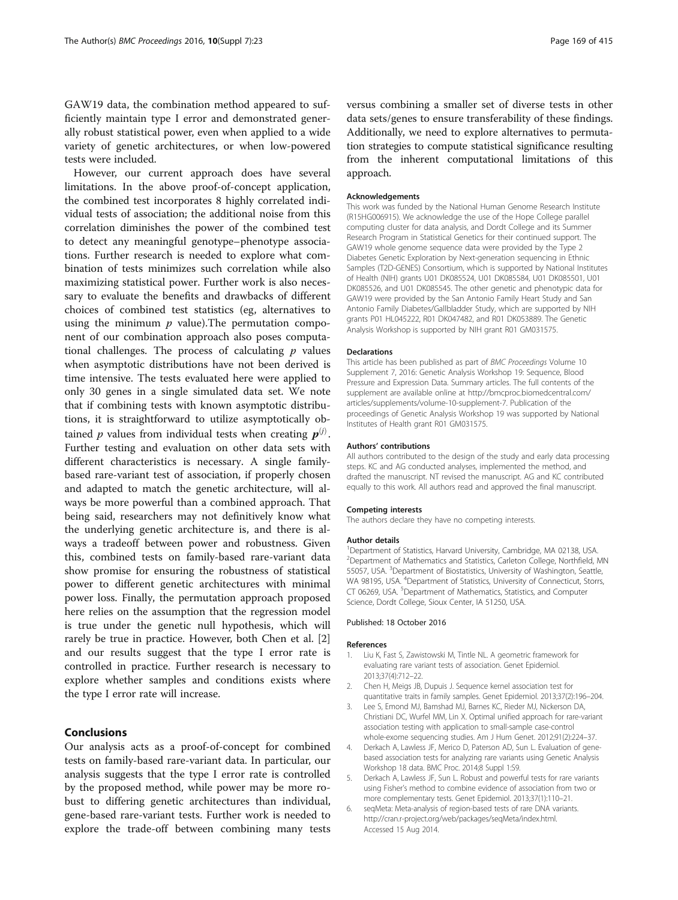<span id="page-4-0"></span>GAW19 data, the combination method appeared to sufficiently maintain type I error and demonstrated generally robust statistical power, even when applied to a wide variety of genetic architectures, or when low-powered tests were included.

However, our current approach does have several limitations. In the above proof-of-concept application, the combined test incorporates 8 highly correlated individual tests of association; the additional noise from this correlation diminishes the power of the combined test to detect any meaningful genotype–phenotype associations. Further research is needed to explore what combination of tests minimizes such correlation while also maximizing statistical power. Further work is also necessary to evaluate the benefits and drawbacks of different choices of combined test statistics (eg, alternatives to using the minimum  $p$  value). The permutation component of our combination approach also poses computational challenges. The process of calculating  $p$  values when asymptotic distributions have not been derived is time intensive. The tests evaluated here were applied to only 30 genes in a single simulated data set. We note that if combining tests with known asymptotic distributions, it is straightforward to utilize asymptotically obtained p values from individual tests when creating  $p^{(j)}$ . Further testing and evaluation on other data sets with different characteristics is necessary. A single familybased rare-variant test of association, if properly chosen and adapted to match the genetic architecture, will always be more powerful than a combined approach. That being said, researchers may not definitively know what the underlying genetic architecture is, and there is always a tradeoff between power and robustness. Given this, combined tests on family-based rare-variant data show promise for ensuring the robustness of statistical power to different genetic architectures with minimal power loss. Finally, the permutation approach proposed here relies on the assumption that the regression model is true under the genetic null hypothesis, which will rarely be true in practice. However, both Chen et al. [2] and our results suggest that the type I error rate is controlled in practice. Further research is necessary to explore whether samples and conditions exists where the type I error rate will increase.

## Conclusions

Our analysis acts as a proof-of-concept for combined tests on family-based rare-variant data. In particular, our analysis suggests that the type I error rate is controlled by the proposed method, while power may be more robust to differing genetic architectures than individual, gene-based rare-variant tests. Further work is needed to explore the trade-off between combining many tests versus combining a smaller set of diverse tests in other data sets/genes to ensure transferability of these findings. Additionally, we need to explore alternatives to permutation strategies to compute statistical significance resulting from the inherent computational limitations of this approach.

#### Acknowledgements

This work was funded by the National Human Genome Research Institute (R15HG006915). We acknowledge the use of the Hope College parallel computing cluster for data analysis, and Dordt College and its Summer Research Program in Statistical Genetics for their continued support. The GAW19 whole genome sequence data were provided by the Type 2 Diabetes Genetic Exploration by Next-generation sequencing in Ethnic Samples (T2D-GENES) Consortium, which is supported by National Institutes of Health (NIH) grants U01 DK085524, U01 DK085584, U01 DK085501, U01 DK085526, and U01 DK085545. The other genetic and phenotypic data for GAW19 were provided by the San Antonio Family Heart Study and San Antonio Family Diabetes/Gallbladder Study, which are supported by NIH grants P01 HL045222, R01 DK047482, and R01 DK053889. The Genetic Analysis Workshop is supported by NIH grant R01 GM031575.

#### Declarations

This article has been published as part of BMC Proceedings Volume 10 Supplement 7, 2016: Genetic Analysis Workshop 19: Sequence, Blood Pressure and Expression Data. Summary articles. The full contents of the supplement are available online at [http://bmcproc.biomedcentral.com/](http://bmcproc.biomedcentral.com/articles/supplements/volume-10-supplement-7) [articles/supplements/volume-10-supplement-7.](http://bmcproc.biomedcentral.com/articles/supplements/volume-10-supplement-7) Publication of the proceedings of Genetic Analysis Workshop 19 was supported by National Institutes of Health grant R01 GM031575.

#### Authors' contributions

All authors contributed to the design of the study and early data processing steps. KC and AG conducted analyses, implemented the method, and drafted the manuscript. NT revised the manuscript. AG and KC contributed equally to this work. All authors read and approved the final manuscript.

#### Competing interests

The authors declare they have no competing interests.

#### Author details

<sup>1</sup>Department of Statistics, Harvard University, Cambridge, MA 02138, USA <sup>2</sup>Department of Mathematics and Statistics, Carleton College, Northfield, MN 55057, USA. <sup>3</sup>Department of Biostatistics, University of Washington, Seattle, WA 98195, USA. <sup>4</sup>Department of Statistics, University of Connecticut, Storrs CT 06269, USA. <sup>5</sup>Department of Mathematics, Statistics, and Computer Science, Dordt College, Sioux Center, IA 51250, USA.

#### Published: 18 October 2016

#### References

- 1. Liu K, Fast S, Zawistowski M, Tintle NL. A geometric framework for evaluating rare variant tests of association. Genet Epidemiol. 2013;37(4):712–22.
- 2. Chen H, Meigs JB, Dupuis J. Sequence kernel association test for quantitative traits in family samples. Genet Epidemiol. 2013;37(2):196–204.
- 3. Lee S, Emond MJ, Bamshad MJ, Barnes KC, Rieder MJ, Nickerson DA, Christiani DC, Wurfel MM, Lin X. Optimal unified approach for rare-variant association testing with application to small-sample case-control whole-exome sequencing studies. Am J Hum Genet. 2012;91(2):224–37.
- 4. Derkach A, Lawless JF, Merico D, Paterson AD, Sun L. Evaluation of genebased association tests for analyzing rare variants using Genetic Analysis Workshop 18 data. BMC Proc. 2014;8 Suppl 1:S9.
- 5. Derkach A, Lawless JF, Sun L. Robust and powerful tests for rare variants using Fisher's method to combine evidence of association from two or more complementary tests. Genet Epidemiol. 2013;37(1):110–21.
- 6. seqMeta: Meta-analysis of region-based tests of rare DNA variants. [http://cran.r-project.org/web/packages/seqMeta/index.html.](http://cran.r-project.org/web/packages/seqMeta/index.html) Accessed 15 Aug 2014.